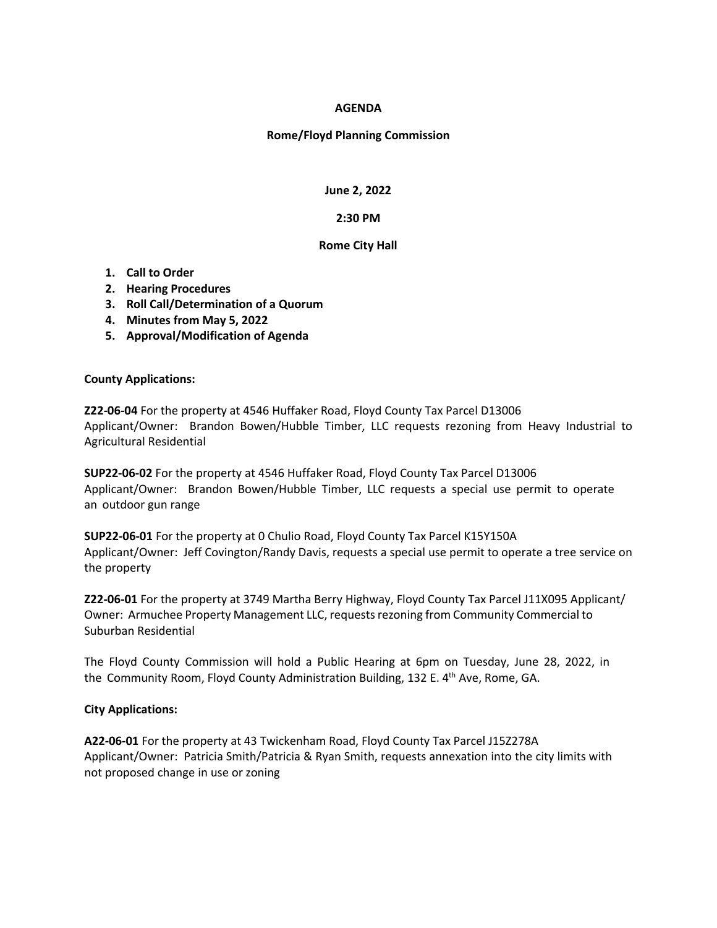# **AGENDA**

# **Rome/Floyd Planning Commission**

**June 2, 2022**

# **2:30 PM**

# **Rome City Hall**

- **1. Call to Order**
- **2. Hearing Procedures**
- **3. Roll Call/Determination of a Quorum**
- **4. Minutes from May 5, 2022**
- **5. Approval/Modification of Agenda**

# **County Applications:**

**Z22-06-04** For the property at 4546 Huffaker Road, Floyd County Tax Parcel D13006 Applicant/Owner: Brandon Bowen/Hubble Timber, LLC requests rezoning from Heavy Industrial to Agricultural Residential

**SUP22-06-02** For the property at 4546 Huffaker Road, Floyd County Tax Parcel D13006 Applicant/Owner: Brandon Bowen/Hubble Timber, LLC requests a special use permit to operate an outdoor gun range

**SUP22-06-01** For the property at 0 Chulio Road, Floyd County Tax Parcel K15Y150A Applicant/Owner: Jeff Covington/Randy Davis, requests a special use permit to operate a tree service on the property

**Z22-06-01** For the property at 3749 Martha Berry Highway, Floyd County Tax Parcel J11X095 Applicant/ Owner: Armuchee Property Management LLC, requests rezoning from Community Commercial to Suburban Residential

The Floyd County Commission will hold a Public Hearing at 6pm on Tuesday, June 28, 2022, in the Community Room, Floyd County Administration Building, 132 E. 4<sup>th</sup> Ave, Rome, GA.

# **City Applications:**

**A22-06-01** For the property at 43 Twickenham Road, Floyd County Tax Parcel J15Z278A Applicant/Owner: Patricia Smith/Patricia & Ryan Smith, requests annexation into the city limits with not proposed change in use or zoning